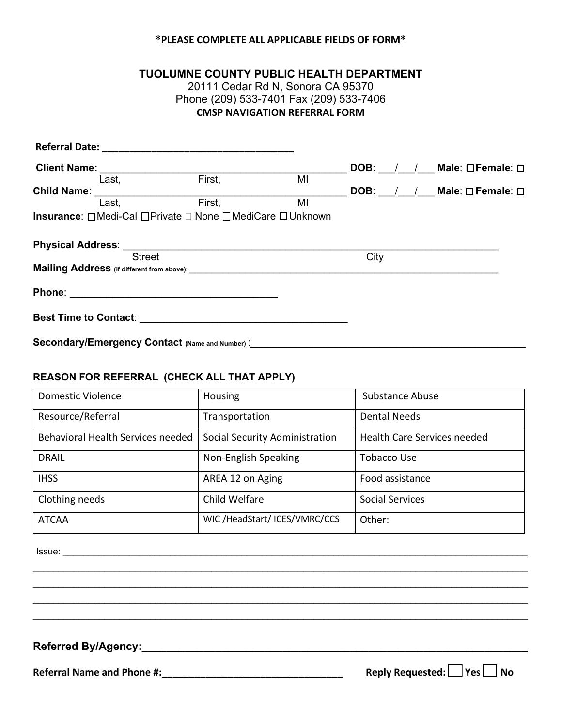## **\*PLEASE COMPLETE ALL APPLICABLE FIELDS OF FORM\***

### **TUOLUMNE COUNTY PUBLIC HEALTH DEPARTMENT**

20111 Cedar Rd N, Sonora CA 95370 Phone (209) 533-7401 Fax (209) 533-7406 **CMSP NAVIGATION REFERRAL FORM**

| <b>Client Name:</b> |       |                                                         |    |      | DOB: / / Male: OFemale: 0  |
|---------------------|-------|---------------------------------------------------------|----|------|----------------------------|
|                     | Last, | First,                                                  | MI |      |                            |
| <b>Child Name:</b>  |       |                                                         |    |      | DOB: / / Male: O Female: O |
|                     | Last, | First,                                                  | MI |      |                            |
|                     |       | Insurance: □Medi-Cal □Private □ None □MediCare □Unknown |    |      |                            |
|                     |       |                                                         |    |      |                            |
|                     |       |                                                         |    |      |                            |
| <b>Street</b>       |       |                                                         |    | City |                            |
|                     |       |                                                         |    |      |                            |
|                     |       |                                                         |    |      |                            |
|                     |       |                                                         |    |      |                            |
|                     |       | Secondary/Emergency Contact (Name and Number):          |    |      |                            |

#### **REASON FOR REFERRAL (CHECK ALL THAT APPLY)**

| <b>Domestic Violence</b>          | Housing                        | <b>Substance Abuse</b>             |  |
|-----------------------------------|--------------------------------|------------------------------------|--|
| Resource/Referral                 | Transportation                 | <b>Dental Needs</b>                |  |
| Behavioral Health Services needed | Social Security Administration | <b>Health Care Services needed</b> |  |
| <b>DRAIL</b>                      | Non-English Speaking           | Tobacco Use                        |  |
| <b>IHSS</b>                       | AREA 12 on Aging               | Food assistance                    |  |
| Clothing needs                    | Child Welfare                  | Social Services                    |  |
| <b>ATCAA</b>                      | WIC /HeadStart/ ICES/VMRC/CCS  | Other:                             |  |

\_\_\_\_\_\_\_\_\_\_\_\_\_\_\_\_\_\_\_\_\_\_\_\_\_\_\_\_\_\_\_\_\_\_\_\_\_\_\_\_\_\_\_\_\_\_\_\_\_\_\_\_\_\_\_\_\_\_\_\_\_\_\_\_\_\_\_\_\_\_\_\_\_\_\_\_\_\_\_\_\_\_\_\_\_\_\_\_\_\_\_\_\_\_\_\_\_ \_\_\_\_\_\_\_\_\_\_\_\_\_\_\_\_\_\_\_\_\_\_\_\_\_\_\_\_\_\_\_\_\_\_\_\_\_\_\_\_\_\_\_\_\_\_\_\_\_\_\_\_\_\_\_\_\_\_\_\_\_\_\_\_\_\_\_\_\_\_\_\_\_\_\_\_\_\_\_\_\_\_\_\_\_\_\_\_\_\_\_\_\_\_\_\_\_ \_\_\_\_\_\_\_\_\_\_\_\_\_\_\_\_\_\_\_\_\_\_\_\_\_\_\_\_\_\_\_\_\_\_\_\_\_\_\_\_\_\_\_\_\_\_\_\_\_\_\_\_\_\_\_\_\_\_\_\_\_\_\_\_\_\_\_\_\_\_\_\_\_\_\_\_\_\_\_\_\_\_\_\_\_\_\_\_\_\_\_\_\_\_\_\_\_ \_\_\_\_\_\_\_\_\_\_\_\_\_\_\_\_\_\_\_\_\_\_\_\_\_\_\_\_\_\_\_\_\_\_\_\_\_\_\_\_\_\_\_\_\_\_\_\_\_\_\_\_\_\_\_\_\_\_\_\_\_\_\_\_\_\_\_\_\_\_\_\_\_\_\_\_\_\_\_\_\_\_\_\_\_\_\_\_\_\_\_\_\_\_\_\_\_

 $\blacksquare$  Issue:

**Referred By/Agency:\_\_\_\_\_\_\_\_\_\_\_\_\_\_\_\_\_\_\_\_\_\_\_\_\_\_\_\_\_\_\_\_\_\_\_\_\_\_\_\_\_\_\_\_\_\_\_\_\_\_\_\_\_\_\_\_\_\_\_\_\_\_\_** 

**Referral Name and Phone #:\_\_\_\_\_\_\_\_\_\_\_\_\_\_\_\_\_\_\_\_\_\_\_\_\_\_\_\_\_\_\_\_\_ Reply Requested: Yes No**